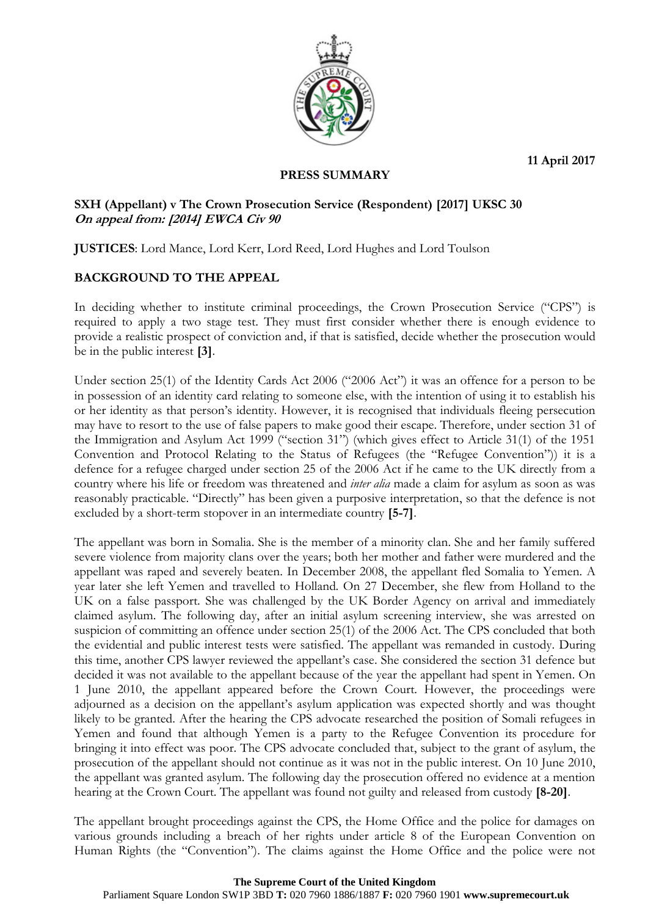**11 April 2017**



# **PRESS SUMMARY**

### **SXH (Appellant) v The Crown Prosecution Service (Respondent) [2017] UKSC 30 On appeal from: [2014] EWCA Civ 90**

**JUSTICES**: Lord Mance, Lord Kerr, Lord Reed, Lord Hughes and Lord Toulson

## **BACKGROUND TO THE APPEAL**

In deciding whether to institute criminal proceedings, the Crown Prosecution Service ("CPS") is required to apply a two stage test. They must first consider whether there is enough evidence to provide a realistic prospect of conviction and, if that is satisfied, decide whether the prosecution would be in the public interest **[3]**.

Under section 25(1) of the Identity Cards Act 2006 ("2006 Act") it was an offence for a person to be in possession of an identity card relating to someone else, with the intention of using it to establish his or her identity as that person's identity. However, it is recognised that individuals fleeing persecution may have to resort to the use of false papers to make good their escape. Therefore, under section 31 of the Immigration and Asylum Act 1999 ("section 31") (which gives effect to Article 31(1) of the 1951 Convention and Protocol Relating to the Status of Refugees (the "Refugee Convention")) it is a defence for a refugee charged under section 25 of the 2006 Act if he came to the UK directly from a country where his life or freedom was threatened and *inter alia* made a claim for asylum as soon as was reasonably practicable. "Directly" has been given a purposive interpretation, so that the defence is not excluded by a short-term stopover in an intermediate country **[5-7]**.

The appellant was born in Somalia. She is the member of a minority clan. She and her family suffered severe violence from majority clans over the years; both her mother and father were murdered and the appellant was raped and severely beaten. In December 2008, the appellant fled Somalia to Yemen. A year later she left Yemen and travelled to Holland. On 27 December, she flew from Holland to the UK on a false passport. She was challenged by the UK Border Agency on arrival and immediately claimed asylum. The following day, after an initial asylum screening interview, she was arrested on suspicion of committing an offence under section 25(1) of the 2006 Act. The CPS concluded that both the evidential and public interest tests were satisfied. The appellant was remanded in custody. During this time, another CPS lawyer reviewed the appellant's case. She considered the section 31 defence but decided it was not available to the appellant because of the year the appellant had spent in Yemen. On 1 June 2010, the appellant appeared before the Crown Court. However, the proceedings were adjourned as a decision on the appellant's asylum application was expected shortly and was thought likely to be granted. After the hearing the CPS advocate researched the position of Somali refugees in Yemen and found that although Yemen is a party to the Refugee Convention its procedure for bringing it into effect was poor. The CPS advocate concluded that, subject to the grant of asylum, the prosecution of the appellant should not continue as it was not in the public interest. On 10 June 2010, the appellant was granted asylum. The following day the prosecution offered no evidence at a mention hearing at the Crown Court. The appellant was found not guilty and released from custody **[8-20]**.

The appellant brought proceedings against the CPS, the Home Office and the police for damages on various grounds including a breach of her rights under article 8 of the European Convention on Human Rights (the "Convention"). The claims against the Home Office and the police were not